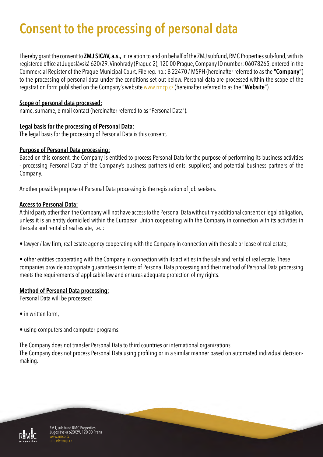# **Consent to the processing of personal data**

I hereby grant the consent to **ZMJ SICAV, a.s.,** in relation to and on behalf of the ZMJ subfund, RMC Properties sub-fund, with its registered office at Jugoslávská 620/29, Vinohrady (Prague 2), 120 00 Prague, Company ID number: 06078265, entered in the Commercial Register of the Prague Municipal Court, File reg. no.: B 22470 / MSPH (hereinafter referred to as the **"Company"**) to the processing of personal data under the conditions set out below. Personal data are processed within the scope of the registration form published on the Company's website www.rmcp.cz (hereinafter referred to as the **"Website"**).

# **Scope of personal data processed:**

name, surname, e-mail contact (hereinafter referred to as "Personal Data").

## **Legal basis for the processing of Personal Data:**

The legal basis for the processing of Personal Data is this consent.

# **Purpose of Personal Data processing:**

Based on this consent, the Company is entitled to process Personal Data for the purpose of performing its business activities - processing Personal Data of the Company's business partners (clients, suppliers) and potential business partners of the Company.

Another possible purpose of Personal Data processing is the registration of job seekers.

## **Access to Personal Data:**

A third party other than the Company will not have access to the Personal Data without my additional consent or legal obligation, unless it is an entity domiciled within the European Union cooperating with the Company in connection with its activities in the sale and rental of real estate, i.e..:

• lawyer / law firm, real estate agency cooperating with the Company in connection with the sale or lease of real estate;

• other entities cooperating with the Company in connection with its activities in the sale and rental of real estate. These companies provide appropriate guarantees in terms of Personal Data processing and their method of Personal Data processing meets the requirements of applicable law and ensures adequate protection of my rights.

#### **Method of Personal Data processing:**

Personal Data will be processed:

- in written form.
- using computers and computer programs.

The Company does not transfer Personal Data to third countries or international organizations. The Company does not process Personal Data using profiling or in a similar manner based on automated individual decisionmaking.



ZMJ, sub-fund RMC Properties Jugoslávska 620/29, 120 00 Praha www.rmcp.cz @rmcn.cz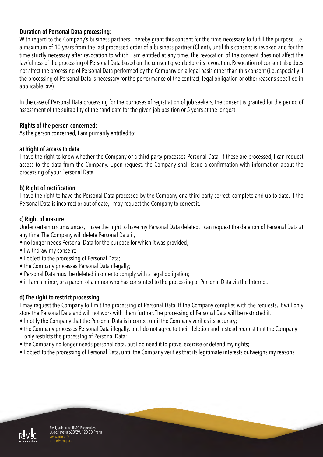# **Duration of Personal Data processing:**

With regard to the Company's business partners I hereby grant this consent for the time necessary to fulfill the purpose, i.e. a maximum of 10 years from the last processed order of a business partner (Client), until this consent is revoked and for the time strictly necessary after revocation to which I am entitled at any time. The revocation of the consent does not affect the lawfulness of the processing of Personal Data based on the consent given before its revocation. Revocation of consent also does not affect the processing of Personal Data performed by the Company on a legal basis other than this consent (i.e. especially if the processing of Personal Data is necessary for the performance of the contract, legal obligation or other reasons specified in applicable law).

In the case of Personal Data processing for the purposes of registration of job seekers, the consent is granted for the period of assessment of the suitability of the candidate for the given job position or 5 years at the longest.

## **Rights of the person concerned:**

As the person concerned, I am primarily entitled to:

#### **a) Right of access to data**

I have the right to know whether the Company or a third party processes Personal Data. If these are processed, I can request access to the data from the Company. Upon request, the Company shall issue a confirmation with information about the processing of your Personal Data.

## **b) Right of rectification**

I have the right to have the Personal Data processed by the Company or a third party correct, complete and up-to-date. If the Personal Data is incorrect or out of date, I may request the Company to correct it.

## **c) Right of erasure**

Under certain circumstances, I have the right to have my Personal Data deleted. I can request the deletion of Personal Data at any time. The Company will delete Personal Data if,

- no longer needs Personal Data for the purpose for which it was provided;
- I withdraw my consent;
- I object to the processing of Personal Data;
- the Company processes Personal Data illegally;
- Personal Data must be deleted in order to comply with a legal obligation;
- if I am a minor, or a parent of a minor who has consented to the processing of Personal Data via the Internet.

# **d) The right to restrict processing**

I may request the Company to limit the processing of Personal Data. If the Company complies with the requests, it will only store the Personal Data and will not work with them further. The processing of Personal Data will be restricted if,

- I notify the Company that the Personal Data is incorrect until the Company verifies its accuracy;
- the Company processes Personal Data illegally, but I do not agree to their deletion and instead request that the Company only restricts the processing of Personal Data;
- the Company no longer needs personal data, but I do need it to prove, exercise or defend my rights;
- I object to the processing of Personal Data, until the Company verifies that its legitimate interests outweighs my reasons.



ZMJ, sub-fund RMC Properties Jugoslávska 620/29, 120 00 Praha www.rmcp.cz office@rmcp.cz